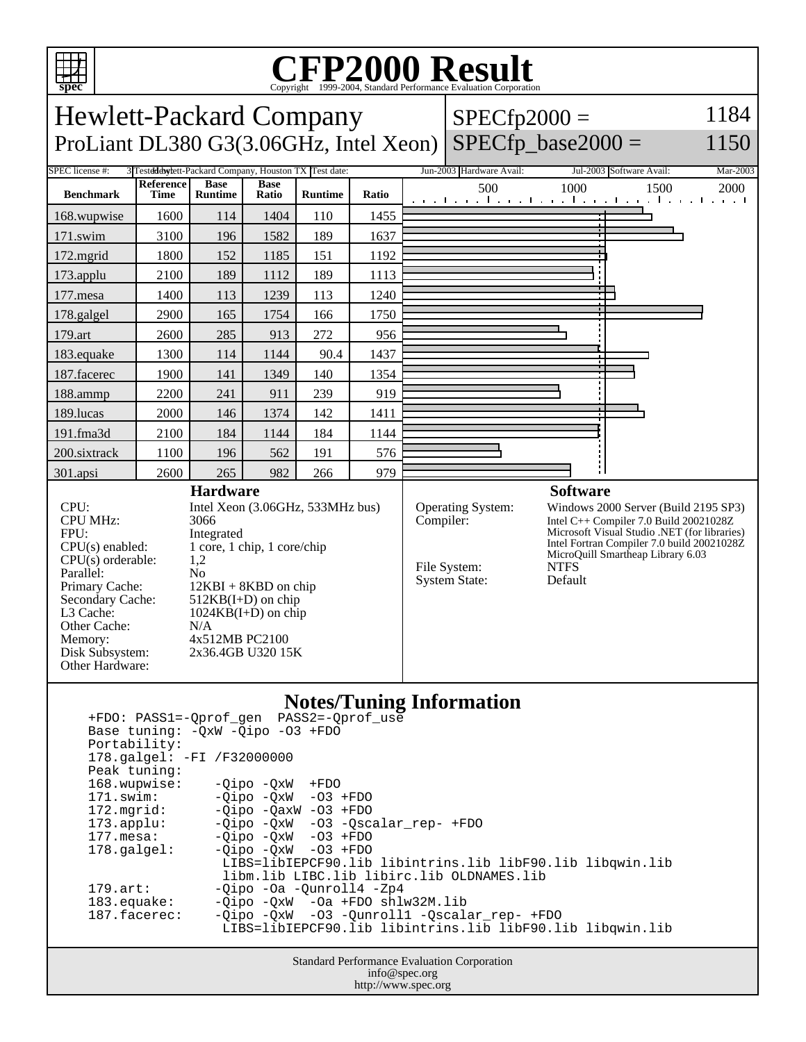

## C<sub>opyright</sub> ©1999-2004, Standard Performance Evaluation Corporation

Hewlett-Packard Company ProLiant DL380 G3(3.06GHz, Intel Xeon)  $SPECfp2000 =$  1184

## $SPECfp\_base2000 =$

1150

| SPEC license #:                                                                                                                                                                                                                                                                                                                                                                                                                                       |                                 |                               |                      | 3 Testdddwylett-Packard Company, Houston TX Test date: | Jun-2003 Hardware Avail: | Jul-2003 Software Avail:<br>Mar-2003                                          |                                                                                                                                                                                                                                             |  |  |
|-------------------------------------------------------------------------------------------------------------------------------------------------------------------------------------------------------------------------------------------------------------------------------------------------------------------------------------------------------------------------------------------------------------------------------------------------------|---------------------------------|-------------------------------|----------------------|--------------------------------------------------------|--------------------------|-------------------------------------------------------------------------------|---------------------------------------------------------------------------------------------------------------------------------------------------------------------------------------------------------------------------------------------|--|--|
| <b>Benchmark</b>                                                                                                                                                                                                                                                                                                                                                                                                                                      | <b>Reference</b><br><b>Time</b> | <b>Base</b><br><b>Runtime</b> | <b>Base</b><br>Ratio | <b>Runtime</b>                                         | Ratio                    | 500                                                                           | 1000<br>1500<br>2000<br>التعبيل بعيا بعياني بالتعب التعبيلية بالتعبيل بالتعب                                                                                                                                                                |  |  |
| 168.wupwise                                                                                                                                                                                                                                                                                                                                                                                                                                           | 1600                            | 114                           | 1404                 | 110                                                    | 1455                     |                                                                               |                                                                                                                                                                                                                                             |  |  |
| $171$ .swim                                                                                                                                                                                                                                                                                                                                                                                                                                           | 3100                            | 196                           | 1582                 | 189                                                    | 1637                     |                                                                               |                                                                                                                                                                                                                                             |  |  |
| 172.mgrid                                                                                                                                                                                                                                                                                                                                                                                                                                             | 1800                            | 152                           | 1185                 | 151                                                    | 1192                     |                                                                               |                                                                                                                                                                                                                                             |  |  |
| 173.applu                                                                                                                                                                                                                                                                                                                                                                                                                                             | 2100                            | 189                           | 1112                 | 189                                                    | 1113                     |                                                                               |                                                                                                                                                                                                                                             |  |  |
| $177$ .mesa                                                                                                                                                                                                                                                                                                                                                                                                                                           | 1400                            | 113                           | 1239                 | 113                                                    | 1240                     |                                                                               |                                                                                                                                                                                                                                             |  |  |
| 178.galgel                                                                                                                                                                                                                                                                                                                                                                                                                                            | 2900                            | 165                           | 1754                 | 166                                                    | 1750                     |                                                                               |                                                                                                                                                                                                                                             |  |  |
| 179.art                                                                                                                                                                                                                                                                                                                                                                                                                                               | 2600                            | 285                           | 913                  | 272                                                    | 956                      |                                                                               |                                                                                                                                                                                                                                             |  |  |
| 183.equake                                                                                                                                                                                                                                                                                                                                                                                                                                            | 1300                            | 114                           | 1144                 | 90.4                                                   | 1437                     |                                                                               |                                                                                                                                                                                                                                             |  |  |
| 187.facerec                                                                                                                                                                                                                                                                                                                                                                                                                                           | 1900                            | 141                           | 1349                 | 140                                                    | 1354                     |                                                                               |                                                                                                                                                                                                                                             |  |  |
| 188.ammp                                                                                                                                                                                                                                                                                                                                                                                                                                              | 2200                            | 241                           | 911                  | 239                                                    | 919                      |                                                                               |                                                                                                                                                                                                                                             |  |  |
| 189.lucas                                                                                                                                                                                                                                                                                                                                                                                                                                             | 2000                            | 146                           | 1374                 | 142                                                    | 1411                     |                                                                               |                                                                                                                                                                                                                                             |  |  |
| 191.fma3d                                                                                                                                                                                                                                                                                                                                                                                                                                             | 2100                            | 184                           | 1144                 | 184                                                    | 1144                     |                                                                               |                                                                                                                                                                                                                                             |  |  |
| 200.sixtrack                                                                                                                                                                                                                                                                                                                                                                                                                                          | 1100                            | 196                           | 562                  | 191                                                    | 576                      |                                                                               |                                                                                                                                                                                                                                             |  |  |
| 301.apsi                                                                                                                                                                                                                                                                                                                                                                                                                                              | 2600                            | 265                           | 982                  | 266                                                    | 979                      |                                                                               |                                                                                                                                                                                                                                             |  |  |
|                                                                                                                                                                                                                                                                                                                                                                                                                                                       |                                 | <b>Hardware</b>               |                      |                                                        | <b>Software</b>          |                                                                               |                                                                                                                                                                                                                                             |  |  |
| CPU:<br>Intel Xeon (3.06GHz, 533MHz bus)<br><b>CPU MHz:</b><br>3066<br>FPU:<br>Integrated<br>1 core, 1 chip, 1 core/chip<br>$CPU(s)$ enabled:<br>CPU(s) orderable:<br>1,2<br>Parallel:<br>N <sub>o</sub><br>Primary Cache:<br>$12KBI + 8KBD$ on chip<br>Secondary Cache:<br>$512KB(I+D)$ on chip<br>L3 Cache:<br>$1024KB(I+D)$ on chip<br>Other Cache:<br>N/A<br>4x512MB PC2100<br>Memory:<br>Disk Subsystem:<br>2x36.4GB U320 15K<br>Other Hardware: |                                 |                               |                      |                                                        |                          | <b>Operating System:</b><br>Compiler:<br>File System:<br><b>System State:</b> | Windows 2000 Server (Build 2195 SP3)<br>Intel C++ Compiler 7.0 Build 20021028Z<br>Microsoft Visual Studio .NET (for libraries)<br>Intel Fortran Compiler 7.0 build 20021028Z<br>MicroQuill Smartheap Library 6.03<br><b>NTFS</b><br>Default |  |  |
| <b>Notes/Tuning Information</b><br>PASS2=-Oprof use<br>+FDO: PASS1=-Qprof_gen                                                                                                                                                                                                                                                                                                                                                                         |                                 |                               |                      |                                                        |                          |                                                                               |                                                                                                                                                                                                                                             |  |  |

| +FDO: PASS1=-Qprof gen PASS2=-Qprof use                             |  |  |  |  |  |  |  |  |  |
|---------------------------------------------------------------------|--|--|--|--|--|--|--|--|--|
| Base tuning: $-OxW - Oipo -O3 + FDO$                                |  |  |  |  |  |  |  |  |  |
| Portability:                                                        |  |  |  |  |  |  |  |  |  |
| 178.galgel: -FI /F32000000                                          |  |  |  |  |  |  |  |  |  |
| Peak tuning:                                                        |  |  |  |  |  |  |  |  |  |
| 168.wupwise:<br>$-Oipo -OXW + FDO$                                  |  |  |  |  |  |  |  |  |  |
| $-Oipo -OXW - O3 + FDO$<br>171.swim:                                |  |  |  |  |  |  |  |  |  |
| $-Oipo -OaxW -O3 + FDO$<br>172.mqrid:                               |  |  |  |  |  |  |  |  |  |
| $-0$ ipo $-0xW$ $-03$ $-0scalar$ rep- $+FDO$<br>$173.\text{applu}:$ |  |  |  |  |  |  |  |  |  |
| $-Oipo$ $-OxW$ $-O3$ $+FDO$<br>177.mesa:                            |  |  |  |  |  |  |  |  |  |
| $-0i$ po $-0xW$ $-03$ $+FDO$<br>$178.\text{qalgel}$ :               |  |  |  |  |  |  |  |  |  |
| LIBS=libIEPCF90.lib libintrins.lib libF90.lib libqwin.lib           |  |  |  |  |  |  |  |  |  |
| libm.lib LIBC.lib libirc.lib OLDNAMES.lib                           |  |  |  |  |  |  |  |  |  |
| $-Oipo -Oa -Ounroll4 -Zp4$<br>$179.\text{art}$ :                    |  |  |  |  |  |  |  |  |  |
| $-Oipo -OXW -Oa + FDO shlw32M.lib$<br>183.equake:                   |  |  |  |  |  |  |  |  |  |
| -Qipo -QxW -03 -Qunroll1 -Qscalar_rep- +FDO<br>$187.$ facerec:      |  |  |  |  |  |  |  |  |  |
| LIBS=libIEPCF90.lib libintrins.lib libF90.lib libqwin.lib           |  |  |  |  |  |  |  |  |  |
|                                                                     |  |  |  |  |  |  |  |  |  |

Standard Performance Evaluation Corporation info@spec.org http://www.spec.org